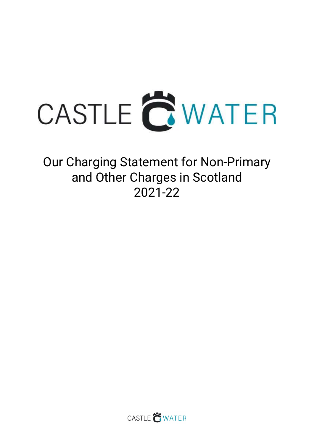

Our Charging Statement for Non-Primary and Other Charges in Scotland 2021-22

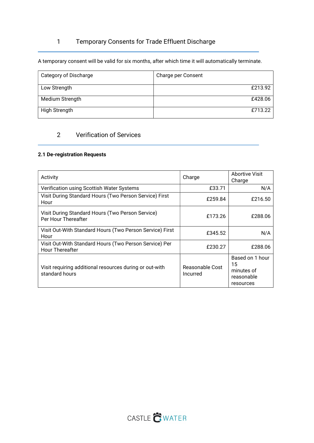# 1 Temporary Consents for Trade Effluent Discharge

A temporary consent will be valid for six months, after which time it will automatically terminate.

| Category of Discharge | Charge per Consent |
|-----------------------|--------------------|
|                       |                    |
| Low Strength          | £213.92            |
|                       |                    |
| Medium Strength       | £428.06            |
|                       |                    |
|                       |                    |
| High Strength         | £713.22            |
|                       |                    |

# 2 Verification of Services

### 2.1 De-registration Requests

| Activity                                                                         | Charge                      | Abortive Visit<br>Charge                                       |
|----------------------------------------------------------------------------------|-----------------------------|----------------------------------------------------------------|
| Verification using Scottish Water Systems                                        | £33.71                      | N/A                                                            |
| Visit During Standard Hours (Two Person Service) First<br>Hour                   | £259.84                     | £216.50                                                        |
| Visit During Standard Hours (Two Person Service)<br>Per Hour Thereafter          | £173.26                     | £288.06                                                        |
| Visit Out-With Standard Hours (Two Person Service) First<br>Hour                 | £345.52                     | N/A                                                            |
| Visit Out-With Standard Hours (Two Person Service) Per<br><b>Hour Thereafter</b> | £230.27                     | £288.06                                                        |
| Visit requiring additional resources during or out-with<br>standard hours        | Reasonable Cost<br>Incurred | Based on 1 hour<br>15<br>minutes of<br>reasonable<br>resources |

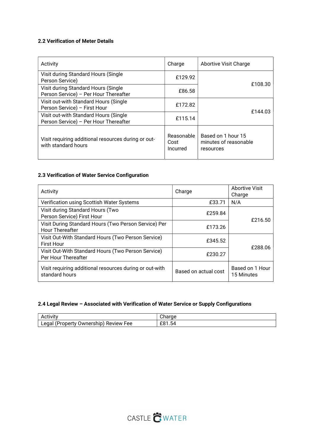#### 2.2 Verification of Meter Details

| Activity                                                                       | Charge                         | Abortive Visit Charge                                    |  |
|--------------------------------------------------------------------------------|--------------------------------|----------------------------------------------------------|--|
| Visit during Standard Hours (Single<br>Person Service)                         | £129.92                        | £108.30                                                  |  |
| Visit during Standard Hours (Single<br>Person Service) - Per Hour Thereafter   | £86.58                         |                                                          |  |
| Visit out-with Standard Hours (Single<br>Person Service) - First Hour          | £172.82                        |                                                          |  |
| Visit out-with Standard Hours (Single<br>Person Service) - Per Hour Thereafter | £115.14                        | £144.03                                                  |  |
| Visit requiring additional resources during or out-<br>with standard hours     | Reasonable<br>Cost<br>Incurred | Based on 1 hour 15<br>minutes of reasonable<br>resources |  |

# 2.3 Verification of Water Service Configuration

| Activity                                                                       | Charge               | <b>Abortive Visit</b><br>Charge |
|--------------------------------------------------------------------------------|----------------------|---------------------------------|
| Verification using Scottish Water Systems                                      | £33.71               | N/A                             |
| Visit during Standard Hours (Two<br>Person Service) First Hour                 | £259.84              | £216.50                         |
| Visit During Standard Hours (Two Person Service) Per<br><b>Hour Thereafter</b> | £173.26              |                                 |
| Visit Out-With Standard Hours (Two Person Service)<br><b>First Hour</b>        | £345.52              | £288.06                         |
| Visit Out-With Standard Hours (Two Person Service)<br>Per Hour Thereafter      | £230.27              |                                 |
| Visit requiring additional resources during or out-with<br>standard hours      | Based on actual cost | Based on 1 Hour<br>15 Minutes   |

# 2.4 Legal Review – Associated with Verification of Water Service or Supply Configurations

| Activity                                         |                      |
|--------------------------------------------------|----------------------|
| ∟egal<br>' Ownership)<br>(Property<br>Review Fee | $\sim$<br>1.54<br>LΟ |

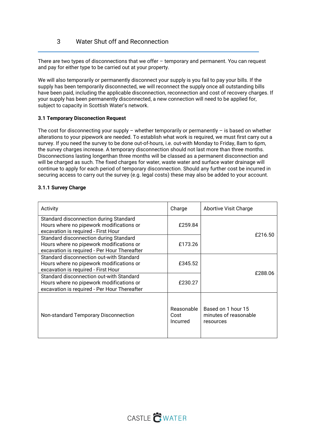There are two types of disconnections that we offer – temporary and permanent. You can request and pay for either type to be carried out at your property.

We will also temporarily or permanently disconnect your supply is you fail to pay your bills. If the supply has been temporarily disconnected, we will reconnect the supply once all outstanding bills have been paid, including the applicable disconnection, reconnection and cost of recovery charges. If your supply has been permanently disconnected, a new connection will need to be applied for, subject to capacity in Scottish Water's network.

#### 3.1 Temporary Disconection Request

The cost for disconnecting your supply – whether temporarily or permanently – is based on whether alterations to your pipework are needed. To establish what work is required, we must first carry out a survey. If you need the survey to be done out-of-hours, i.e. out-with Monday to Friday, 8am to 6pm, the survey charges increase. A temporary disconnection should not last more than three months. Disconnections lasting longerthan three months will be classed as a permanent disconnection and will be charged as such. The fixed charges for water, waste water and surface water drainage will continue to apply for each period of temporary disconnection. Should any further cost be incurred in securing access to carry out the survey (e.g. legal costs) these may also be added to your account.

#### 3.1.1 Survey Charge

| Activity                                                                                                                             | Charge                         | <b>Abortive Visit Charge</b>                             |
|--------------------------------------------------------------------------------------------------------------------------------------|--------------------------------|----------------------------------------------------------|
| Standard disconnection during Standard<br>Hours where no pipework modifications or                                                   | £259.84                        |                                                          |
| excavation is required - First Hour                                                                                                  |                                |                                                          |
| Standard disconnection during Standard<br>Hours where no pipework modifications or<br>excavation is required - Per Hour Thereafter   | £173.26                        | £216.50                                                  |
| Standard disconnection out-with Standard<br>Hours where no pipework modifications or<br>excavation is required - First Hour          | £345.52                        | £288.06                                                  |
| Standard disconnection out-with Standard<br>Hours where no pipework modifications or<br>excavation is required - Per Hour Thereafter | £230.27                        |                                                          |
| Non-standard Temporary Disconnection                                                                                                 | Reasonable<br>Cost<br>Incurred | Based on 1 hour 15<br>minutes of reasonable<br>resources |

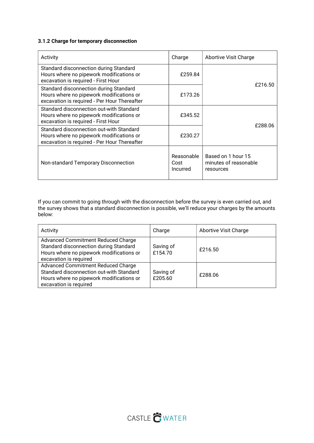### 3.1.2 Charge for temporary disconnection

| Activity                                                                                                                             | Charge                                | Abortive Visit Charge                                    |
|--------------------------------------------------------------------------------------------------------------------------------------|---------------------------------------|----------------------------------------------------------|
| Standard disconnection during Standard<br>Hours where no pipework modifications or<br>excavation is required - First Hour            | £259.84                               | £216.50                                                  |
| Standard disconnection during Standard<br>Hours where no pipework modifications or<br>excavation is required - Per Hour Thereafter   | £173.26                               |                                                          |
| Standard disconnection out-with Standard<br>Hours where no pipework modifications or<br>excavation is required - First Hour          | £345.52                               |                                                          |
| Standard disconnection out-with Standard<br>Hours where no pipework modifications or<br>excavation is required - Per Hour Thereafter | £230.27                               | £288.06                                                  |
| Non-standard Temporary Disconnection                                                                                                 | Reasonable<br>Cost<br><i>Incurred</i> | Based on 1 hour 15<br>minutes of reasonable<br>resources |

If you can commit to going through with the disconnection before the survey is even carried out, and the survey shows that a standard disconnection is possible, we'll reduce your charges by the amounts below:

| Activity                                                                                                                                                  | Charge               | <b>Abortive Visit Charge</b> |
|-----------------------------------------------------------------------------------------------------------------------------------------------------------|----------------------|------------------------------|
| <b>Advanced Commitment Reduced Charge</b><br>Standard disconnection during Standard<br>Hours where no pipework modifications or<br>excavation is required | Saving of<br>£154.70 | £216.50                      |
| Advanced Commitment Reduced Charge<br>Standard disconnection out-with Standard<br>Hours where no pipework modifications or<br>excavation is required      | Saving of<br>£205.60 | £288.06                      |

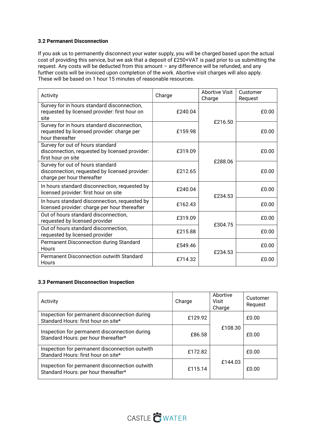#### 3.2 Permanent Disconnection

If you ask us to permanently disconnect your water supply, you will be charged based upon the actual cost of providing this service, but we ask that a deposit of £250+VAT is paid prior to us submitting the request. Any costs will be deducted from this amount – any difference will be refunded, and any further costs will be invoiced upon completion of the work. Abortive visit charges will also apply. These will be based on 1 hour 15 minutes of reasonable resources.

| Activity                                                                                                         | Charge  | <b>Abortive Visit</b><br>Charge | Customer<br>Request |
|------------------------------------------------------------------------------------------------------------------|---------|---------------------------------|---------------------|
| Survey for in hours standard disconnection,<br>requested by licensed provider: first hour on<br>site             | £240.04 | £216.50                         | £0.00               |
| Survey for in hours standard disconnection,<br>requested by licensed provider: charge per<br>hour thereafter     | £159.98 |                                 | £0.00               |
| Survey for out of hours standard<br>disconnection, requested by licensed provider:<br>first hour on site         | £319.09 |                                 | £0.00               |
| Survey for out of hours standard<br>disconnection, requested by licensed provider:<br>charge per hour thereafter | £212.65 | £288.06                         | £0.00               |
| In hours standard disconnection, requested by<br>licensed provider: first hour on site                           | £240.04 | £234.53                         | £0.00               |
| In hours standard disconnection, requested by<br>licensed provider: charge per hour thereafter                   | £162.43 |                                 | £0.00               |
| Out of hours standard disconnection,<br>requested by licensed provider                                           | £319.09 | £304.75                         | £0.00               |
| Out of hours standard disconnection,<br>requested by licensed provider                                           | £215.88 |                                 | £0.00               |
| Permanent Disconnection during Standard<br>Hours                                                                 | £549.46 | £234.53                         | £0.00               |
| Permanent Disconnection outwith Standard<br>Hours                                                                | £714.32 |                                 | £0.00               |

#### 3.3 Permanent Disconnection Inspection

| Activity                                                                               | Charge  | Abortive<br>Visit<br>Charge | Customer<br>Request |
|----------------------------------------------------------------------------------------|---------|-----------------------------|---------------------|
| Inspection for permanent disconnection during<br>Standard Hours: first hour on site*   | £129.92 |                             | £0.00               |
| Inspection for permanent disconnection during<br>Standard Hours: per hour thereafter*  | £86.58  | £108.30                     | £0.00               |
| Inspection for permanent disconnection outwith<br>Standard Hours: first hour on site*  | £172.82 |                             | £0.00               |
| Inspection for permanent disconnection outwith<br>Standard Hours: per hour thereafter* | £115.14 | £144.03                     | £0.00               |

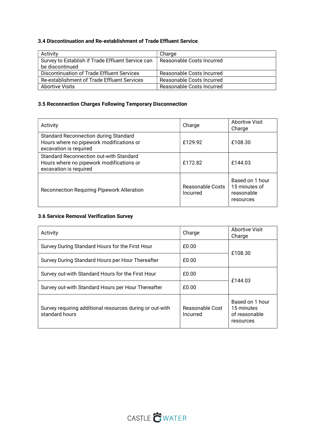# 3.4 Discontinuation and Re-establishment of Trade Effluent Service

| Activity                                          | Charge                    |
|---------------------------------------------------|---------------------------|
| Survey to Establish if Trade Effluent Service can | Reasonable Costs Incurred |
| be discontinued                                   |                           |
| Discontinuation of Trade Effluent Services        | Reasonable Costs Incurred |
| Re-establishment of Trade Effluent Services       | Reasonable Costs Incurred |
| <b>Abortive Visits</b>                            | Reasonable Costs Incurred |

### 3.5 Reconnection Charges Following Temporary Disconnection

| Activity                                                                                                           | Charge                       | <b>Abortive Visit</b><br>Charge                             |
|--------------------------------------------------------------------------------------------------------------------|------------------------------|-------------------------------------------------------------|
| <b>Standard Reconnection during Standard</b><br>Hours where no pipework modifications or<br>excavation is required | £129.92                      | £108.30                                                     |
| Standard Reconnection out-with Standard<br>Hours where no pipework modifications or<br>excavation is required      | £172.82                      | £144.03                                                     |
| Reconnection Requiring Pipework Alteration                                                                         | Reasonable Costs<br>Incurred | Based on 1 hour<br>15 minutes of<br>reasonable<br>resources |

## 3.6 Service Removal Verification Survey

| Activity                                                                   | Charge                      | <b>Abortive Visit</b><br>Charge                             |
|----------------------------------------------------------------------------|-----------------------------|-------------------------------------------------------------|
| Survey During Standard Hours for the First Hour                            | £0.00                       | £108.30                                                     |
| Survey During Standard Hours per Hour Thereafter                           | £0.00                       |                                                             |
| Survey out-with Standard Hours for the First Hour                          | £0.00                       | £144.03                                                     |
| Survey out-with Standard Hours per Hour Thereafter                         | £0.00                       |                                                             |
| Survey requiring additional resources during or out-with<br>standard hours | Reasonable Cost<br>Incurred | Based on 1 hour<br>15 minutes<br>of reasonable<br>resources |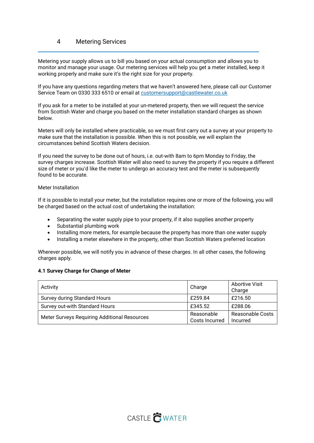# 4 Metering Services

Metering your supply allows us to bill you based on your actual consumption and allows you to monitor and manage your usage. Our metering services will help you get a meter installed, keep it working properly and make sure it's the right size for your property.

If you have any questions regarding meters that we haven't answered here, please call our Customer Service Team on 0330 333 6510 or email at customersupport@castlewater.co.uk

If you ask for a meter to be installed at your un-metered property, then we will request the service from Scottish Water and charge you based on the meter installation standard charges as shown below.

Meters will only be installed where practicable, so we must first carry out a survey at your property to make sure that the installation is possible. When this is not possible, we will explain the circumstances behind Scottish Waters decision.

If you need the survey to be done out of hours, i.e. out-with 8am to 6pm Monday to Friday, the survey charges increase. Scottish Water will also need to survey the property if you require a different size of meter or you'd like the meter to undergo an accuracy test and the meter is subsequently found to be accurate.

#### Meter Installation

If it is possible to install your meter, but the installation requires one or more of the following, you will be charged based on the actual cost of undertaking the installation:

- Separating the water supply pipe to your property, if it also supplies another property
- Substantial plumbing work
- Installing more meters, for example because the property has more than one water supply
- Installing a meter elsewhere in the property, other than Scottish Waters preferred location

Wherever possible, we will notify you in advance of these charges. In all other cases, the following charges apply.

#### 4.1 Survey Charge for Change of Meter

| Activity                                     | Charge                       | <b>Abortive Visit</b><br>Charge     |
|----------------------------------------------|------------------------------|-------------------------------------|
| <b>Survey during Standard Hours</b>          | £259.84                      | £216.50                             |
| Survey out-with Standard Hours               | £345.52                      | £288.06                             |
| Meter Surveys Requiring Additional Resources | Reasonable<br>Costs Incurred | <b>Reasonable Costs</b><br>Incurred |

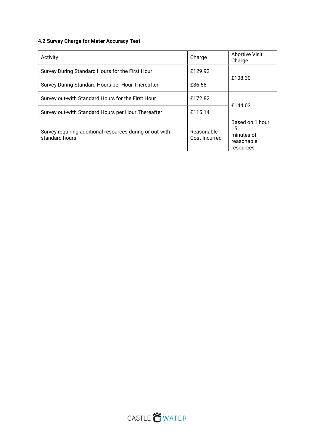# 4.2 Survey Charge for Meter Accuracy Test

| Activity                                                                   | Charge                      | <b>Abortive Visit</b><br>Charge                                |  |  |  |  |
|----------------------------------------------------------------------------|-----------------------------|----------------------------------------------------------------|--|--|--|--|
| Survey During Standard Hours for the First Hour                            | £129.92                     |                                                                |  |  |  |  |
| Survey During Standard Hours per Hour Thereafter                           | £86.58                      | £108.30                                                        |  |  |  |  |
| Survey out-with Standard Hours for the First Hour                          | £172.82                     | £144.03                                                        |  |  |  |  |
| Survey out-with Standard Hours per Hour Thereafter                         | £115.14                     |                                                                |  |  |  |  |
| Survey requiring additional resources during or out-with<br>standard hours | Reasonable<br>Cost Incurred | Based on 1 hour<br>15<br>minutes of<br>reasonable<br>resources |  |  |  |  |

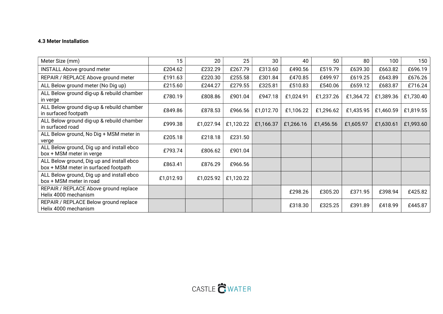## 4.3 Meter Installation

| Meter Size (mm)                                                                   | 15        | 20        | 25        | 30        | 40        | 50        | 80        | 100       | 150       |
|-----------------------------------------------------------------------------------|-----------|-----------|-----------|-----------|-----------|-----------|-----------|-----------|-----------|
| <b>INSTALL Above ground meter</b>                                                 | £204.62   | £232.29   | £267.79   | £313.60   | £490.56   | £519.79   | £639.30   | £663.82   | £696.19   |
| REPAIR / REPLACE Above ground meter                                               | £191.63   | £220.30   | £255.58   | £301.84   | £470.85   | £499.97   | £619.25   | £643.89   | £676.26   |
| ALL Below ground meter (No Dig up)                                                | £215.60   | £244.27   | £279.55   | £325.81   | £510.83   | £540.06   | £659.12   | £683.87   | £716.24   |
| ALL Below ground dig-up & rebuild chamber<br>in verge                             | £780.19   | £808.86   | £901.04   | £947.18   | £1,024.91 | £1,237.26 | £1,364.72 | £1,389.36 | £1,730.40 |
| ALL Below ground dig-up & rebuild chamber<br>in surfaced footpath                 | £849.86   | £878.53   | £966.56   | £1,012.70 | £1,106.22 | £1,296.62 | £1,435.95 | £1,460.59 | £1,819.55 |
| ALL Below ground dig-up & rebuild chamber<br>in surfaced road                     | £999.38   | £1,027.94 | £1,120.22 | £1,166.37 | £1,266.16 | £1,456.56 | £1,605.97 | £1,630.61 | £1,993.60 |
| ALL Below ground, No Dig + MSM meter in<br>verge                                  | £205.18   | £218.18   | £231.50   |           |           |           |           |           |           |
| ALL Below ground, Dig up and install ebco<br>box + MSM meter in verge             | £793.74   | £806.62   | £901.04   |           |           |           |           |           |           |
| ALL Below ground, Dig up and install ebco<br>box + MSM meter in surfaced footpath | £863.41   | £876.29   | £966.56   |           |           |           |           |           |           |
| ALL Below ground, Dig up and install ebco<br>box + MSM meter in road              | £1,012.93 | £1,025.92 | £1,120.22 |           |           |           |           |           |           |
| REPAIR / REPLACE Above ground replace<br>Helix 4000 mechanism                     |           |           |           |           | £298.26   | £305.20   | £371.95   | £398.94   | £425.82   |
| REPAIR / REPLACE Below ground replace<br>Helix 4000 mechanism                     |           |           |           |           | £318.30   | £325.25   | £391.89   | £418.99   | £445.87   |

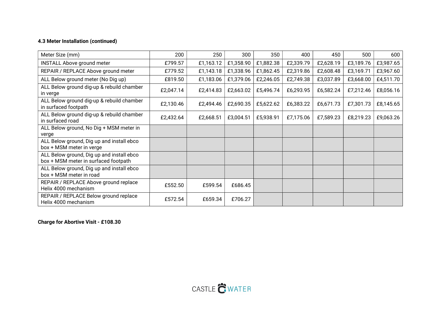# 4.3 Meter Installation (continued)

| Meter Size (mm)                                                                   | 200       | 250       | 300       | 350       | 400       | 450       | 500       | 600       |
|-----------------------------------------------------------------------------------|-----------|-----------|-----------|-----------|-----------|-----------|-----------|-----------|
| <b>INSTALL Above ground meter</b>                                                 | £799.57   | £1,163.12 | £1,358.90 | £1,882.38 | £2,339.79 | £2,628.19 | £3,189.76 | £3,987.65 |
| REPAIR / REPLACE Above ground meter                                               | £779.52   | £1,143.18 | £1,338.96 | £1,862.45 | £2,319.86 | £2,608.48 | £3,169.71 | £3,967.60 |
| ALL Below ground meter (No Dig up)                                                | £819.50   | £1,183.06 | £1,379.06 | £2,246.05 | £2,749.38 | £3,037.89 | £3,668.00 | £4,511.70 |
| ALL Below ground dig-up & rebuild chamber<br>in verge                             | £2,047.14 | £2,414.83 | £2,663.02 | £5,496.74 | £6,293.95 | £6,582.24 | £7,212.46 | £8,056.16 |
| ALL Below ground dig-up & rebuild chamber<br>in surfaced footpath                 | £2,130.46 | £2,494.46 | £2,690.35 | £5,622.62 | £6,383.22 | £6,671.73 | £7,301.73 | £8,145.65 |
| ALL Below ground dig-up & rebuild chamber<br>in surfaced road                     | £2,432.64 | £2,668.51 | £3,004.51 | £5,938.91 | £7,175.06 | £7,589.23 | £8,219.23 | £9,063.26 |
| ALL Below ground, No Dig + MSM meter in<br>verge                                  |           |           |           |           |           |           |           |           |
| ALL Below ground, Dig up and install ebco<br>box + MSM meter in verge             |           |           |           |           |           |           |           |           |
| ALL Below ground, Dig up and install ebco<br>box + MSM meter in surfaced footpath |           |           |           |           |           |           |           |           |
| ALL Below ground, Dig up and install ebco<br>box + MSM meter in road              |           |           |           |           |           |           |           |           |
| REPAIR / REPLACE Above ground replace<br>Helix 4000 mechanism                     | £552.50   | £599.54   | £686.45   |           |           |           |           |           |
| REPAIR / REPLACE Below ground replace<br>Helix 4000 mechanism                     | £572.54   | £659.34   | £706.27   |           |           |           |           |           |

Charge for Abortive Visit - £108.30

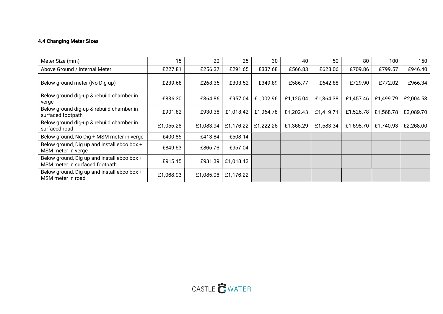### 4.4 Changing Meter Sizes

| Meter Size (mm)                                                               | 15        | 20        | 25        | 30        | 40        | 50        | 80        | 100       | 150       |
|-------------------------------------------------------------------------------|-----------|-----------|-----------|-----------|-----------|-----------|-----------|-----------|-----------|
| Above Ground / Internal Meter                                                 | £227.81   | £256.37   | £291.65   | £337.68   | £566.83   | £623.06   | £709.86   | £799.57   | £946.40   |
| Below ground meter (No Dig up)                                                | £239.68   | £268.35   | £303.52   | £349.89   | £586.77   | £642.88   | £729.90   | £772.02   | £966.34   |
| Below ground dig-up & rebuild chamber in<br>verge                             | £836.30   | £864.86   | £957.04   | £1,002.96 | £1,125.04 | £1,364.38 | £1,457.46 | £1,499.79 | £2,004.58 |
| Below ground dig-up & rebuild chamber in<br>surfaced footpath                 | £901.82   | £930.38   | £1,018.42 | £1,064.78 | £1,202.43 | £1,419.71 | £1,526.78 | £1,568.78 | £2,089.70 |
| Below ground dig-up & rebuild chamber in<br>surfaced road                     | £1,055.26 | £1,083.94 | £1,176.22 | £1,222.26 | £1,366.29 | £1,583.34 | £1,698.70 | £1,740.93 | £2,268.00 |
| Below ground, No Dig + MSM meter in verge                                     | £400.85   | £413.84   | £508.14   |           |           |           |           |           |           |
| Below ground, Dig up and install ebco box +<br>MSM meter in verge             | £849.63   | £865.76   | £957.04   |           |           |           |           |           |           |
| Below ground, Dig up and install ebco box +<br>MSM meter in surfaced footpath | £915.15   | £931.39   | £1,018.42 |           |           |           |           |           |           |
| Below ground, Dig up and install ebco box +<br>MSM meter in road              | £1,068.93 | £1,085.06 | £1,176.22 |           |           |           |           |           |           |

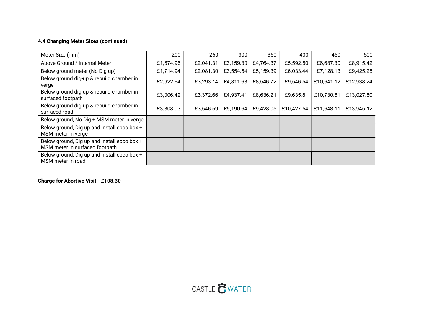# 4.4 Changing Meter Sizes (continued)

| Meter Size (mm)                                                               | 200       | 250       | 300       | 350       | 400        | 450        | 500        |
|-------------------------------------------------------------------------------|-----------|-----------|-----------|-----------|------------|------------|------------|
| Above Ground / Internal Meter                                                 | £1,674.96 | £2,041.31 | £3,159.30 | £4,764.37 | £5,592.50  | £6,687.30  | £8,915.42  |
| Below ground meter (No Dig up)                                                | £1,714.94 | £2,081.30 | £3,554.54 | £5,159.39 | £6,033.44  | £7,128.13  | £9,425.25  |
| Below ground dig-up & rebuild chamber in<br>verge                             | £2,922.64 | £3,293.14 | £4,811.63 | £8,546.72 | £9,546.54  | £10,641.12 | £12,938.24 |
| Below ground dig-up & rebuild chamber in<br>surfaced footpath                 | £3,006.42 | £3,372.66 | £4,937.41 | £8,636.21 | £9,635.81  | £10,730.61 | £13,027.50 |
| Below ground dig-up & rebuild chamber in<br>surfaced road                     | £3,308.03 | £3,546.59 | £5,190.64 | £9,428.05 | £10,427.54 | £11,648.11 | £13,945.12 |
| Below ground, No Dig + MSM meter in verge                                     |           |           |           |           |            |            |            |
| Below ground, Dig up and install ebco box +<br>MSM meter in verge             |           |           |           |           |            |            |            |
| Below ground, Dig up and install ebco box +<br>MSM meter in surfaced footpath |           |           |           |           |            |            |            |
| Below ground, Dig up and install ebco box +<br>MSM meter in road              |           |           |           |           |            |            |            |

Charge for Abortive Visit - £108.30

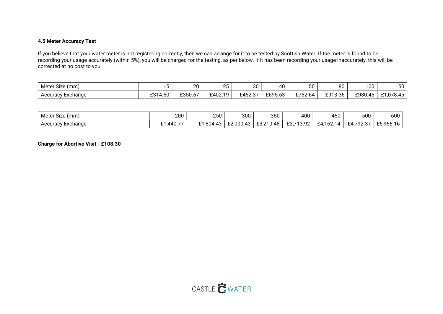#### 4.5 Meter Accuracy Test

If you believe that your water meter is not registering correctly, then we can arrange for it to be tested by Scottish Water. If the meter is found to be recording your usage accurately (within 5%), you will be charged for the testing, as per below. If it has been recording your usage inaccurately, this will be corrected at no cost to you.

| $\sim$<br>Meter S<br>Size (mm) | . .<br>ີ                       | nn<br>ZU               | ΩE<br>້ | 30      | - A C<br>ғu            | $\sim$<br>◡◡ | 80                  | 100                           | 150                                 |
|--------------------------------|--------------------------------|------------------------|---------|---------|------------------------|--------------|---------------------|-------------------------------|-------------------------------------|
| Accuracy Exchange              | $ \sim$<br>0.01<br>50<br>- ت — | . <b>. .</b><br>£350.6 | £402.19 | £452.37 | FAQ5<br>. 63<br>∠∪ סטג | 2750L<br>04  | £913.36<br><u>.</u> | . .<br>£980<br>$\Delta$<br>ுப | $070$ $\mu$<br>$\sim$<br>.U<br>∪.−∪ |

| $\sim$<br>Meter<br>' Size (mm) | 200                       | つにへ<br>∠∪∪             | 300                 | 350                       | 400                            | 450                   | 500                                      | 600                            |
|--------------------------------|---------------------------|------------------------|---------------------|---------------------------|--------------------------------|-----------------------|------------------------------------------|--------------------------------|
| Accuracy Exchange              | --<br>440<br>~-<br>.440.7 | ີ 1,804.4 <sub>ວ</sub> | $^{\circ}$ 2.000.45 | . J.48<br>00.010<br>L3.Z' | ാ<br>0.710<br>⊥∪.≀<br>ـ ے تی ب | .<br>$-4$<br>4<br>UZ. | $\sim$<br><b>CA 702</b><br>Ł4.<br>ا نہ ۔ | £5956.16<br><b>LU, JUU. IU</b> |

Charge for Abortive Visit - £108.30

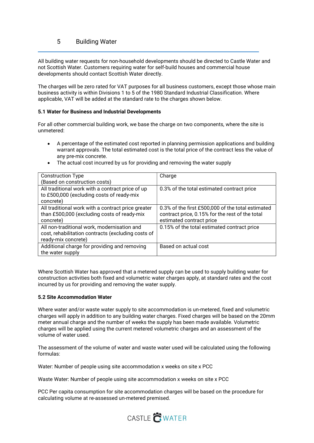# 5 Building Water

All building water requests for non-household developments should be directed to Castle Water and not Scottish Water. Customers requiring water for self-build houses and commercial house developments should contact Scottish Water directly.

The charges will be zero rated for VAT purposes for all business customers, except those whose main business activity is within Divisions 1 to 5 of the 1980 Standard Industrial Classification. Where applicable, VAT will be added at the standard rate to the charges shown below.

#### 5.1 Water for Business and Industrial Developments

For all other commercial building work, we base the charge on two components, where the site is unmetered:

- A percentage of the estimated cost reported in planning permission applications and building warrant approvals. The total estimated cost is the total price of the contract less the value of any pre-mix concrete.
- The actual cost incurred by us for providing and removing the water supply

| <b>Construction Type</b>                           | Charge                                            |
|----------------------------------------------------|---------------------------------------------------|
| (Based on construction costs)                      |                                                   |
| All traditional work with a contract price of up   | 0.3% of the total estimated contract price        |
| to £500,000 (excluding costs of ready-mix          |                                                   |
| concrete)                                          |                                                   |
| All traditional work with a contract price greater | 0.3% of the first £500,000 of the total estimated |
| than £500,000 (excluding costs of ready-mix        | contract price, 0.15% for the rest of the total   |
| concrete)                                          | estimated contract price                          |
| All non-traditional work, modernisation and        | 0.15% of the total estimated contract price       |
| cost, rehabilitation contracts (excluding costs of |                                                   |
| ready-mix concrete)                                |                                                   |
| Additional charge for providing and removing       | Based on actual cost                              |
| the water supply                                   |                                                   |

Where Scottish Water has approved that a metered supply can be used to supply building water for construction activities both fixed and volumetric water charges apply, at standard rates and the cost incurred by us for providing and removing the water supply.

#### 5.2 Site Accommodation Water

Where water and/or waste water supply to site accommodation is un-metered, fixed and volumetric charges will apply in addition to any building water charges. Fixed charges will be based on the 20mm meter annual charge and the number of weeks the supply has been made available. Volumetric charges will be applied using the current metered volumetric charges and an assessment of the volume of water used.

The assessment of the volume of water and waste water used will be calculated using the following formulas:

Water: Number of people using site accommodation x weeks on site x PCC

Waste Water: Number of people using site accommodation x weeks on site x PCC

PCC Per capita consumption for site accommodation charges will be based on the procedure for calculating volume at re-assessed un-metered premised.

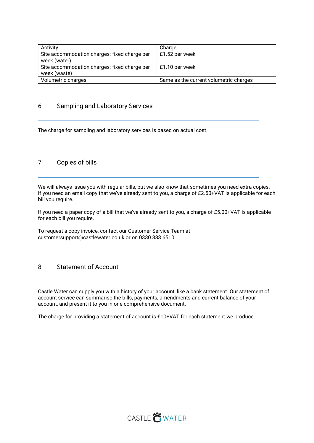| Activity                                     | Charge                                 |
|----------------------------------------------|----------------------------------------|
| Site accommodation charges: fixed charge per | £1.52 per week                         |
| week (water)                                 |                                        |
| Site accommodation charges: fixed charge per | £1.10 per week                         |
| week (waste)                                 |                                        |
| Volumetric charges                           | Same as the current volumetric charges |

### 6 Sampling and Laboratory Services

The charge for sampling and laboratory services is based on actual cost.

### 7 Copies of bills

We will always issue you with regular bills, but we also know that sometimes you need extra copies. If you need an email copy that we've already sent to you, a charge of £2.50+VAT is applicable for each bill you require.

If you need a paper copy of a bill that we've already sent to you, a charge of £5.00+VAT is applicable for each bill you require.

To request a copy invoice, contact our Customer Service Team at customersupport@castlewater.co.uk or on 0330 333 6510.

### 8 Statement of Account

Castle Water can supply you with a history of your account, like a bank statement. Our statement of account service can summarise the bills, payments, amendments and current balance of your account, and present it to you in one comprehensive document.

The charge for providing a statement of account is £10+VAT for each statement we produce.

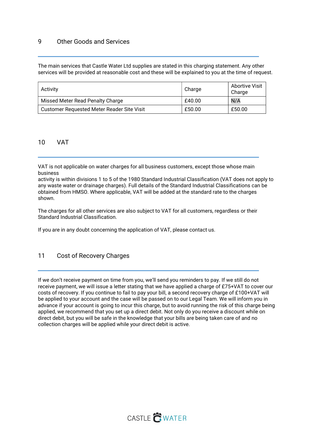# 9 Other Goods and Services

The main services that Castle Water Ltd supplies are stated in this charging statement. Any other services will be provided at reasonable cost and these will be explained to you at the time of request.

| Activity                                   | Charge | <b>Abortive Visit</b><br>Charge |
|--------------------------------------------|--------|---------------------------------|
| Missed Meter Read Penalty Charge           | £40.00 | N/A                             |
| Customer Requested Meter Reader Site Visit | £50.00 | £50.00                          |

#### 10 VAT

VAT is not applicable on water charges for all business customers, except those whose main business

activity is within divisions 1 to 5 of the 1980 Standard Industrial Classification (VAT does not apply to any waste water or drainage charges). Full details of the Standard Industrial Classifications can be obtained from HMSO. Where applicable, VAT will be added at the standard rate to the charges shown.

The charges for all other services are also subject to VAT for all customers, regardless or their Standard Industrial Classification.

If you are in any doubt concerning the application of VAT, please contact us.

### 11 Cost of Recovery Charges

If we don't receive payment on time from you, we'll send you reminders to pay. If we still do not receive payment, we will issue a letter stating that we have applied a charge of £75+VAT to cover our costs of recovery. If you continue to fail to pay your bill, a second recovery charge of £100+VAT will be applied to your account and the case will be passed on to our Legal Team. We will inform you in advance if your account is going to incur this charge, but to avoid running the risk of this charge being applied, we recommend that you set up a direct debit. Not only do you receive a discount while on direct debit, but you will be safe in the knowledge that your bills are being taken care of and no collection charges will be applied while your direct debit is active.